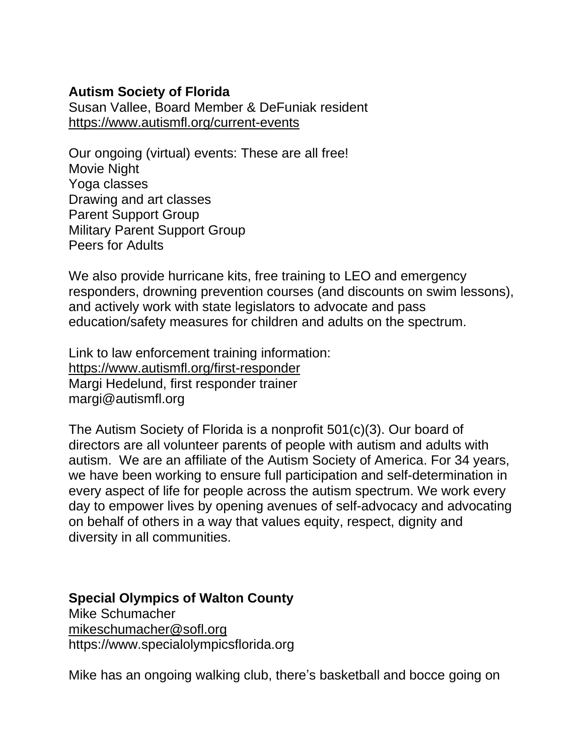# **Autism Society of Florida**

Susan Vallee, Board Member & DeFuniak resident <https://www.autismfl.org/current-events>

Our ongoing (virtual) events: These are all free! Movie Night Yoga classes Drawing and art classes Parent Support Group Military Parent Support Group Peers for Adults

We also provide hurricane kits, free training to LEO and emergency responders, drowning prevention courses (and discounts on swim lessons), and actively work with state legislators to advocate and pass education/safety measures for children and adults on the spectrum.

Link to law enforcement training information: <https://www.autismfl.org/first-responder> Margi Hedelund, first responder trainer margi@autismfl.org

The Autism Society of Florida is a nonprofit 501(c)(3). Our board of directors are all volunteer parents of people with autism and adults with autism. We are an affiliate of the Autism Society of America. For 34 years, we have been working to ensure full participation and self-determination in every aspect of life for people across the autism spectrum. We work every day to empower lives by opening avenues of self-advocacy and advocating on behalf of others in a way that values equity, respect, dignity and diversity in all communities.

# **Special Olympics of Walton County**

Mike Schumacher [mikeschumacher@sofl.org](mailto:mikeschumacher@sofl.org) https://www.specialolympicsflorida.org

Mike has an ongoing walking club, there's basketball and bocce going on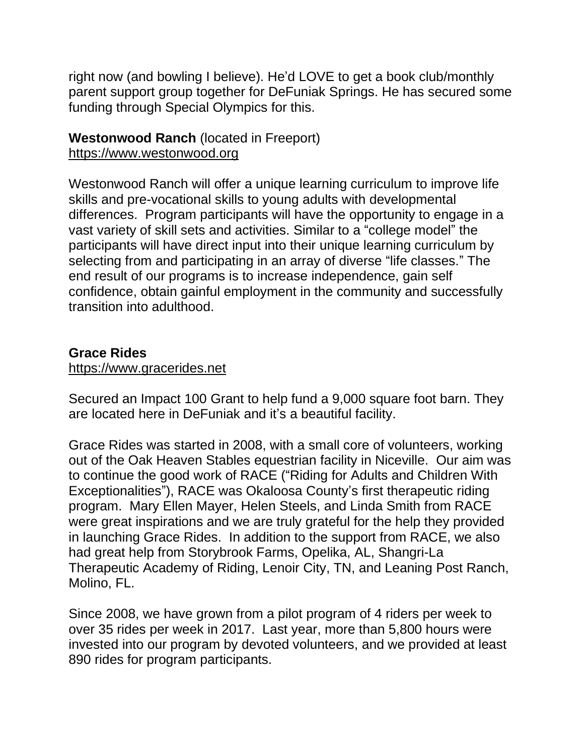right now (and bowling I believe). He'd LOVE to get a book club/monthly parent support group together for DeFuniak Springs. He has secured some funding through Special Olympics for this.

**Westonwood Ranch** (located in Freeport) [https://www.westonwood.org](https://www.westonwood.org/)

Westonwood Ranch will offer a unique learning curriculum to improve life skills and pre-vocational skills to young adults with developmental differences. Program participants will have the opportunity to engage in a vast variety of skill sets and activities. Similar to a "college model" the participants will have direct input into their unique learning curriculum by selecting from and participating in an array of diverse "life classes." The end result of our programs is to increase independence, gain self confidence, obtain gainful employment in the community and successfully transition into adulthood.

# **Grace Rides**

#### [https://www.gracerides.net](https://www.gracerides.net/)

Secured an Impact 100 Grant to help fund a 9,000 square foot barn. They are located here in DeFuniak and it's a beautiful facility.

Grace Rides was started in 2008, with a small core of volunteers, working out of the Oak Heaven Stables equestrian facility in Niceville. Our aim was to continue the good work of RACE ("Riding for Adults and Children With Exceptionalities"), RACE was Okaloosa County's first therapeutic riding program. Mary Ellen Mayer, Helen Steels, and Linda Smith from RACE were great inspirations and we are truly grateful for the help they provided in launching Grace Rides. In addition to the support from RACE, we also had great help from Storybrook Farms, Opelika, AL, Shangri-La Therapeutic Academy of Riding, Lenoir City, TN, and Leaning Post Ranch, Molino, FL.

Since 2008, we have grown from a pilot program of 4 riders per week to over 35 rides per week in 2017. Last year, more than 5,800 hours were invested into our program by devoted volunteers, and we provided at least 890 rides for program participants.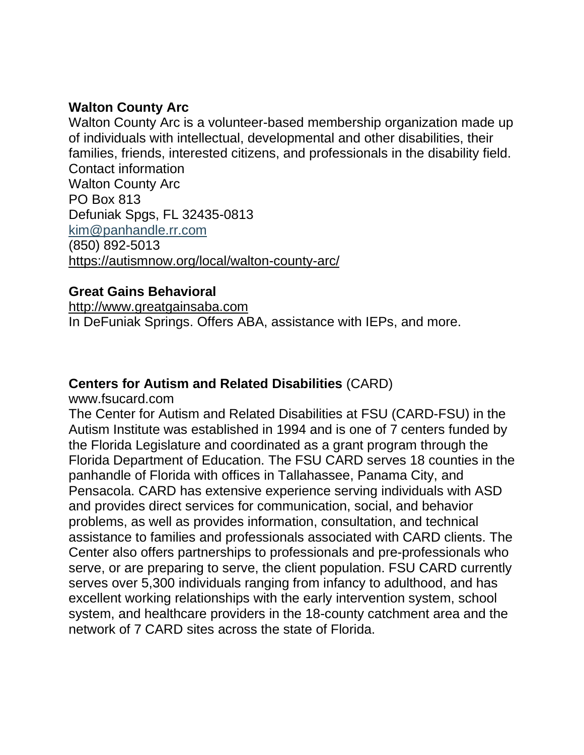### **Walton County Arc**

Walton County Arc is a volunteer-based membership organization made up of individuals with intellectual, developmental and other disabilities, their families, friends, interested citizens, and professionals in the disability field. Contact information Walton County Arc PO Box 813 Defuniak Spgs, FL 32435-0813 [kim@panhandle.rr.com](mailto:kim@panhandle.rr.com) (850) 892-5013 <https://autismnow.org/local/walton-county-arc/>

### **Great Gains Behavioral**

[http://www.greatgainsaba.com](http://www.greatgainsaba.com/) In DeFuniak Springs. Offers ABA, assistance with IEPs, and more.

# **Centers for Autism and Related Disabilities** (CARD)

www.fsucard.com

The Center for Autism and Related Disabilities at FSU [\(CARD-FSU\)](https://fsucard.com/) in the Autism Institute was established in 1994 and is one of 7 centers funded by the Florida Legislature and coordinated as a grant program through the Florida Department of Education. The FSU CARD serves 18 counties in the panhandle of Florida with offices in Tallahassee, Panama City, and Pensacola. CARD has extensive experience serving individuals with ASD and provides direct services for communication, social, and behavior problems, as well as provides information, consultation, and technical assistance to families and professionals associated with CARD clients. The Center also offers partnerships to professionals and pre-professionals who serve, or are preparing to serve, the client population. FSU CARD currently serves over 5,300 individuals ranging from infancy to adulthood, and has excellent working relationships with the early intervention system, school system, and healthcare providers in the 18-county catchment area and the network of 7 CARD sites across the state of Florida.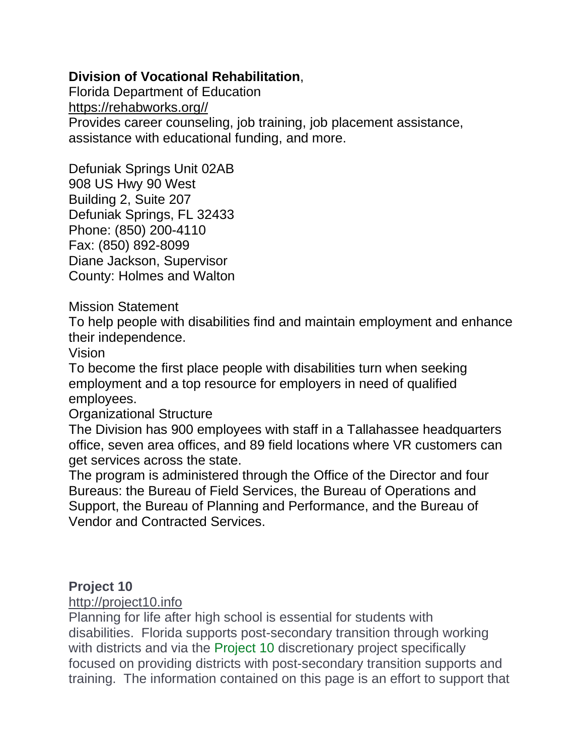### **Division of Vocational Rehabilitation**,

Florida Department of Education [https://rehabworks.org//](https://rehabworks.org/) Provides career counseling, job training, job placement assistance, assistance with educational funding, and more.

Defuniak Springs Unit 02AB 908 US Hwy 90 West Building 2, Suite 207 Defuniak Springs, FL 32433 Phone: (850) 200-4110 Fax: (850) 892-8099 Diane Jackson, Supervisor County: Holmes and Walton

Mission Statement

To help people with disabilities find and maintain employment and enhance their independence.

Vision

To become the first place people with disabilities turn when seeking employment and a top resource for employers in need of qualified employees.

Organizational Structure

The Division has 900 employees with staff in a Tallahassee headquarters office, seven area offices, and 89 field locations where VR customers can get services across the state.

The program is administered through the Office of the Director and four Bureaus: the Bureau of Field Services, the Bureau of Operations and Support, the Bureau of Planning and Performance, and the Bureau of Vendor and Contracted Services.

### **Project 10**

[http://project10.info](http://project10.info/)

Planning for life after high school is essential for students with disabilities. Florida supports post-secondary transition through working with districts and via the [Project](http://project10.info/) 10 discretionary project specifically focused on providing districts with post-secondary transition supports and training. The information contained on this page is an effort to support that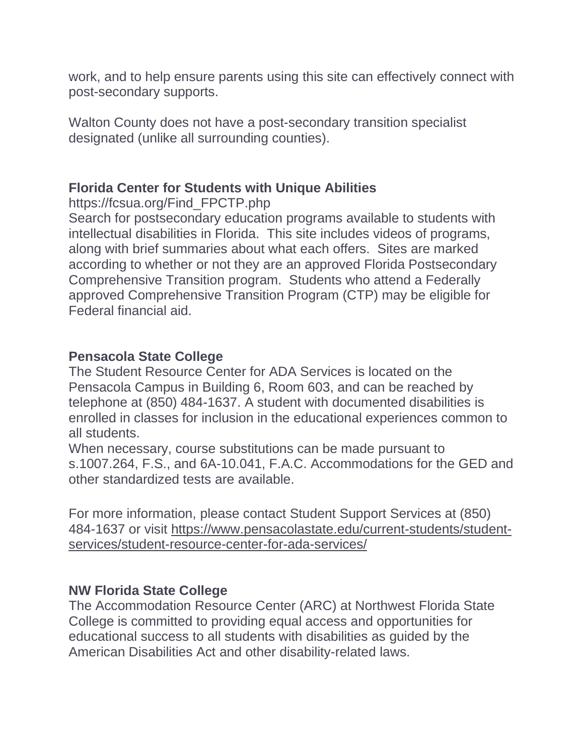work, and to help ensure parents using this site can effectively connect with post-secondary supports.

Walton County does not have a post-secondary transition specialist designated (unlike all surrounding counties).

### **Florida Center for Students with Unique Abilities**

https://fcsua.org/Find\_FPCTP.php

Search for postsecondary education programs available to students with intellectual disabilities in Florida. This site includes videos of programs, along with brief summaries about what each offers. Sites are marked according to whether or not they are an approved Florida Postsecondary Comprehensive Transition program. Students who attend a Federally approved Comprehensive Transition Program (CTP) may be eligible for Federal financial aid.

# **Pensacola State College**

The Student Resource Center for ADA Services is located on the Pensacola Campus in Building 6, Room 603, and can be reached by telephone at (850) 484-1637. A student with documented disabilities is enrolled in classes for inclusion in the educational experiences common to all students.

When necessary, course substitutions can be made pursuant to s.1007.264, F.S., and 6A-10.041, F.A.C. Accommodations for the GED and other standardized tests are available.

For more information, please contact Student Support Services at (850) 484-1637 or visit [https://www.pensacolastate.edu/current-students/student](https://www.pensacolastate.edu/current-students/student-services/student-resource-center-for-ada-services/)[services/student-resource-center-for-ada-services/](https://www.pensacolastate.edu/current-students/student-services/student-resource-center-for-ada-services/)

# **NW Florida State College**

The Accommodation Resource Center (ARC) at Northwest Florida State College is committed to providing equal access and opportunities for educational success to all students with disabilities as guided by the American Disabilities Act and other disability-related laws.